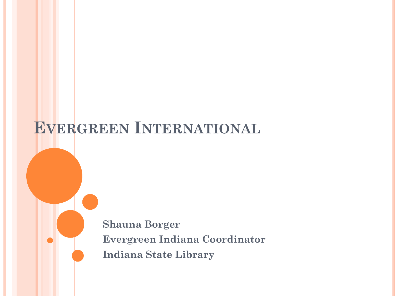# **EVERGREEN INTERNATIONAL**

**Shauna Borger Evergreen Indiana Coordinator Indiana State Library**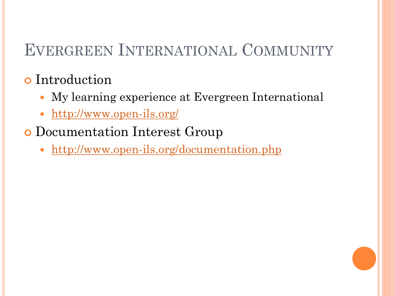# EVERGREEN INTERNATIONAL COMMUNITY

## **o** Introduction

- My learning experience at Evergreen International
- <http://www.open-ils.org/>
- Documentation Interest Group
	- <http://www.open-ils.org/documentation.php>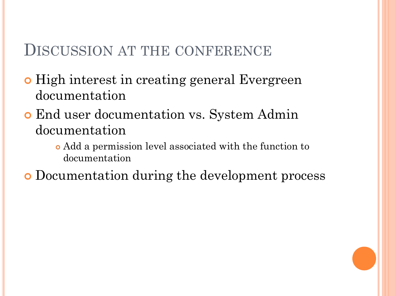### DISCUSSION AT THE CONFERENCE

- **o** High interest in creating general Evergreen documentation
- End user documentation vs. System Admin documentation
	- Add a permission level associated with the function to documentation

Documentation during the development process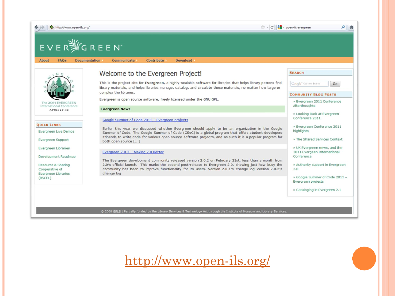

© 2008 GPLS | Partially funded by the Library Services & Technology Act through the Institute of Museum and Library Services.

<http://www.open-ils.org/>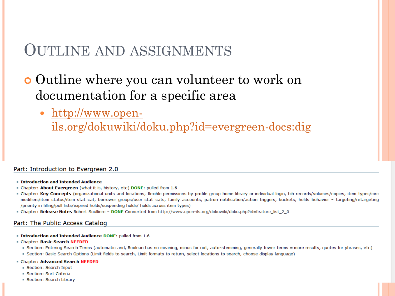### OUTLINE AND ASSIGNMENTS

### **o** Outline where you can volunteer to work on documentation for a specific area

[http://www.open-](http://www.open-ils.org/dokuwiki/doku.php?id=evergreen-docs:dig)

[ils.org/dokuwiki/doku.php?id=evergreen-docs:dig](http://www.open-ils.org/dokuwiki/doku.php?id=evergreen-docs:dig)

#### Part: Introduction to Evergreen 2.0

- **E** Introduction and Intended Audience
- " Chapter: About Evergreen (what it is, history, etc) DONE: pulled from 1.6
- . Chapter: Key Concepts (organizational units and locations, flexible permissions by profile group home library or individual login, bib records/volumes/copies, item types/circ modifiers/item status/item stat cat, borrower groups/user stat cats, family accounts, patron notification/action triggers, buckets, holds behavior - targeting/retargeting /priority in filling/pull lists/expired holds/suspending holds/ holds across item types)
- Chapter: Release Notes Robert Soulliere DONE Converted from http://www.open-ils.org/dokuwiki/doku.php?id=feature list 2 0

#### Part: The Public Access Catalog

- Introduction and Intended Audience DONE: pulled from 1.6
- Chapter: Basic Search NEEDED
	- Section: Entering Search Terms (automatic and, Boolean has no meaning, minus for not, auto-stemming, generally fewer terms = more results, quotes for phrases, etc)
	- · Section: Basic Search Options (Limit fields to search, Limit formats to return, select locations to search, choose display language)
- Chapter: Advanced Search NEEDED
	- Gection: Search Input
	- Gection: Sort Criteria
	- Section: Search Library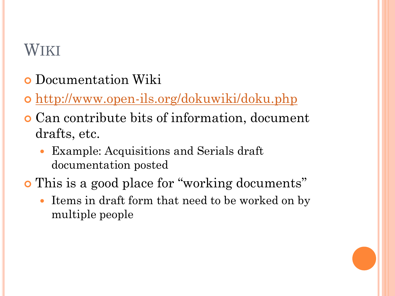# WIKI

- **o** Documentation Wiki
- o <http://www.open-ils.org/dokuwiki/doku.php>
- Can contribute bits of information, document drafts, etc.
	- Example: Acquisitions and Serials draft documentation posted
- This is a good place for "working documents"
	- Items in draft form that need to be worked on by multiple people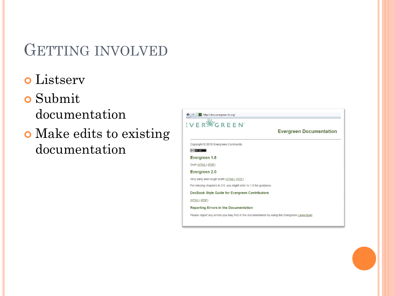## GETTING INVOLVED

Listserv

### Submit documentation

 Make edits to existing documentation

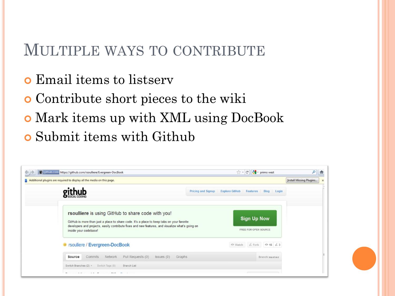### MULTIPLE WAYS TO CONTRIBUTE

- **o** Email items to listserv
- Contribute short pieces to the wiki
- Mark items up with XML using DocBook
- Submit items with Github